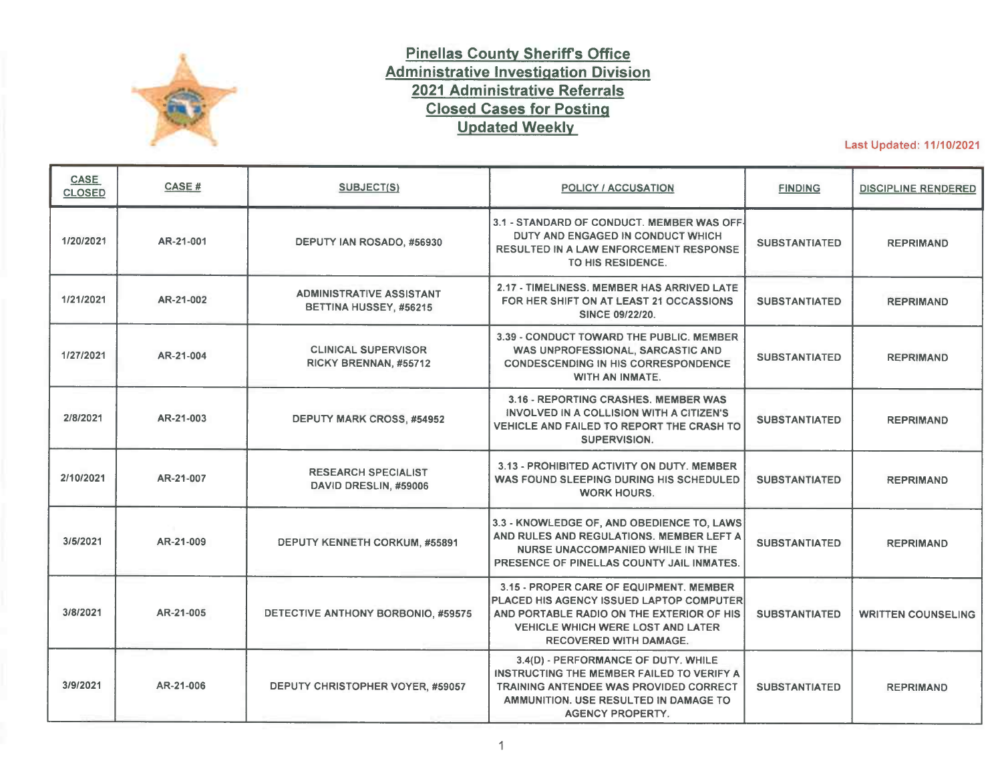

## **Pinellas County Sheriffs Office Administrative Investigation Division 2021 Administrative Referrals Closed Cases for Posting Updated Weekly**

Last Updated: 11/10/2021

| CASE<br><b>CLOSED</b> | <b>CASE#</b> | SUBJECT(S)                                                | <b>POLICY / ACCUSATION</b>                                                                                                                                                                                           | <b>FINDING</b>       | <b>DISCIPLINE RENDERED</b> |
|-----------------------|--------------|-----------------------------------------------------------|----------------------------------------------------------------------------------------------------------------------------------------------------------------------------------------------------------------------|----------------------|----------------------------|
| 1/20/2021             | AR-21-001    | DEPUTY IAN ROSADO, #56930                                 | 3.1 - STANDARD OF CONDUCT. MEMBER WAS OFF-<br>DUTY AND ENGAGED IN CONDUCT WHICH<br><b>RESULTED IN A LAW ENFORCEMENT RESPONSE</b><br>TO HIS RESIDENCE.                                                                | <b>SUBSTANTIATED</b> | <b>REPRIMAND</b>           |
| 1/21/2021             | AR-21-002    | <b>ADMINISTRATIVE ASSISTANT</b><br>BETTINA HUSSEY, #56215 | 2.17 - TIMELINESS, MEMBER HAS ARRIVED LATE<br>FOR HER SHIFT ON AT LEAST 21 OCCASSIONS<br><b>SINCE 09/22/20.</b>                                                                                                      | <b>SUBSTANTIATED</b> | <b>REPRIMAND</b>           |
| 1/27/2021             | AR-21-004    | <b>CLINICAL SUPERVISOR</b><br>RICKY BRENNAN, #55712       | 3.39 - CONDUCT TOWARD THE PUBLIC. MEMBER<br>WAS UNPROFESSIONAL, SARCASTIC AND<br><b>CONDESCENDING IN HIS CORRESPONDENCE</b><br>WITH AN INMATE.                                                                       | <b>SUBSTANTIATED</b> | <b>REPRIMAND</b>           |
| 2/8/2021              | AR-21-003    | <b>DEPUTY MARK CROSS, #54952</b>                          | 3.16 - REPORTING CRASHES, MEMBER WAS<br>INVOLVED IN A COLLISION WITH A CITIZEN'S<br>VEHICLE AND FAILED TO REPORT THE CRASH TO<br>SUPERVISION.                                                                        | <b>SUBSTANTIATED</b> | <b>REPRIMAND</b>           |
| 2/10/2021             | AR-21-007    | <b>RESEARCH SPECIALIST</b><br>DAVID DRESLIN, #59006       | 3.13 - PROHIBITED ACTIVITY ON DUTY, MEMBER<br>WAS FOUND SLEEPING DURING HIS SCHEDULED<br><b>WORK HOURS.</b>                                                                                                          | <b>SUBSTANTIATED</b> | <b>REPRIMAND</b>           |
| 3/5/2021              | AR-21-009    | DEPUTY KENNETH CORKUM, #55891                             | 3.3 - KNOWLEDGE OF, AND OBEDIENCE TO, LAWS<br>AND RULES AND REGULATIONS. MEMBER LEFT A<br>NURSE UNACCOMPANIED WHILE IN THE<br>PRESENCE OF PINELLAS COUNTY JAIL INMATES.                                              | <b>SUBSTANTIATED</b> | <b>REPRIMAND</b>           |
| 3/8/2021              | AR-21-005    | DETECTIVE ANTHONY BORBONIO, #59575                        | 3.15 - PROPER CARE OF EQUIPMENT. MEMBER<br><b>PLACED HIS AGENCY ISSUED LAPTOP COMPUTER</b><br>AND PORTABLE RADIO ON THE EXTERIOR OF HIS<br><b>VEHICLE WHICH WERE LOST AND LATER</b><br><b>RECOVERED WITH DAMAGE.</b> | <b>SUBSTANTIATED</b> | <b>WRITTEN COUNSELING</b>  |
| 3/9/2021              | AR-21-006    | DEPUTY CHRISTOPHER VOYER, #59057                          | 3.4(D) - PERFORMANCE OF DUTY. WHILE<br>INSTRUCTING THE MEMBER FAILED TO VERIFY A<br><b>TRAINING ANTENDEE WAS PROVIDED CORRECT</b><br>AMMUNITION, USE RESULTED IN DAMAGE TO<br><b>AGENCY PROPERTY.</b>                | <b>SUBSTANTIATED</b> | <b>REPRIMAND</b>           |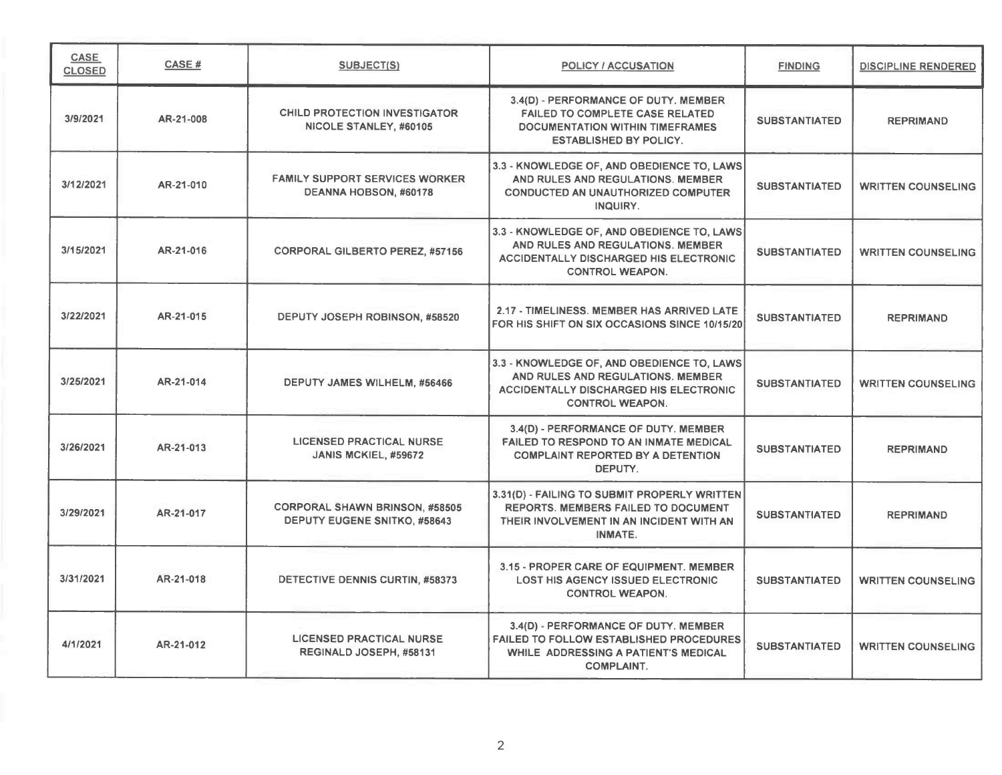| CASE<br><b>CLOSED</b> | CASE#     | <b>SUBJECT(S)</b>                                                            | <b>POLICY / ACCUSATION</b>                                                                                                                                 | <b>FINDING</b>       | <b>DISCIPLINE RENDERED</b> |
|-----------------------|-----------|------------------------------------------------------------------------------|------------------------------------------------------------------------------------------------------------------------------------------------------------|----------------------|----------------------------|
| 3/9/2021              | AR-21-008 | <b>CHILD PROTECTION INVESTIGATOR</b><br>NICOLE STANLEY, #60105               | 3.4(D) - PERFORMANCE OF DUTY, MEMBER<br><b>FAILED TO COMPLETE CASE RELATED</b><br><b>DOCUMENTATION WITHIN TIMEFRAMES</b><br><b>ESTABLISHED BY POLICY.</b>  | <b>SUBSTANTIATED</b> | <b>REPRIMAND</b>           |
| 3/12/2021             | AR-21-010 | <b>FAMILY SUPPORT SERVICES WORKER</b><br>DEANNA HOBSON, #60178               | 3.3 - KNOWLEDGE OF, AND OBEDIENCE TO, LAWS<br>AND RULES AND REGULATIONS. MEMBER<br><b>CONDUCTED AN UNAUTHORIZED COMPUTER</b><br>INQUIRY.                   | <b>SUBSTANTIATED</b> | <b>WRITTEN COUNSELING</b>  |
| 3/15/2021             | AR-21-016 | <b>CORPORAL GILBERTO PEREZ, #57156</b>                                       | 3.3 - KNOWLEDGE OF, AND OBEDIENCE TO, LAWS<br>AND RULES AND REGULATIONS. MEMBER<br><b>ACCIDENTALLY DISCHARGED HIS ELECTRONIC</b><br><b>CONTROL WEAPON.</b> | <b>SUBSTANTIATED</b> | <b>WRITTEN COUNSELING</b>  |
| 3/22/2021             | AR-21-015 | DEPUTY JOSEPH ROBINSON, #58520                                               | 2.17 - TIMELINESS. MEMBER HAS ARRIVED LATE<br>FOR HIS SHIFT ON SIX OCCASIONS SINCE 10/15/20                                                                | <b>SUBSTANTIATED</b> | <b>REPRIMAND</b>           |
| 3/25/2021             | AR-21-014 | DEPUTY JAMES WILHELM, #56466                                                 | 3.3 - KNOWLEDGE OF, AND OBEDIENCE TO, LAWS<br>AND RULES AND REGULATIONS. MEMBER<br><b>ACCIDENTALLY DISCHARGED HIS ELECTRONIC</b><br><b>CONTROL WEAPON.</b> | <b>SUBSTANTIATED</b> | <b>WRITTEN COUNSELING</b>  |
| 3/26/2021             | AR-21-013 | <b>LICENSED PRACTICAL NURSE</b><br>JANIS MCKIEL, #59672                      | 3.4(D) - PERFORMANCE OF DUTY. MEMBER<br>FAILED TO RESPOND TO AN INMATE MEDICAL<br><b>COMPLAINT REPORTED BY A DETENTION</b><br>DEPUTY.                      | <b>SUBSTANTIATED</b> | <b>REPRIMAND</b>           |
| 3/29/2021             | AR-21-017 | <b>CORPORAL SHAWN BRINSON, #58505</b><br><b>DEPUTY EUGENE SNITKO, #58643</b> | 3.31(D) - FAILING TO SUBMIT PROPERLY WRITTEN<br><b>REPORTS. MEMBERS FAILED TO DOCUMENT</b><br>THEIR INVOLVEMENT IN AN INCIDENT WITH AN<br>INMATE.          | <b>SUBSTANTIATED</b> | <b>REPRIMAND</b>           |
| 3/31/2021             | AR-21-018 | DETECTIVE DENNIS CURTIN, #58373                                              | 3.15 - PROPER CARE OF EQUIPMENT. MEMBER<br><b>LOST HIS AGENCY ISSUED ELECTRONIC</b><br><b>CONTROL WEAPON.</b>                                              | <b>SUBSTANTIATED</b> | <b>WRITTEN COUNSELING</b>  |
| 4/1/2021              | AR-21-012 | <b>LICENSED PRACTICAL NURSE</b><br>REGINALD JOSEPH, #58131                   | 3.4(D) - PERFORMANCE OF DUTY. MEMBER<br>FAILED TO FOLLOW ESTABLISHED PROCEDURES<br>WHILE ADDRESSING A PATIENT'S MEDICAL<br><b>COMPLAINT.</b>               | <b>SUBSTANTIATED</b> | <b>WRITTEN COUNSELING</b>  |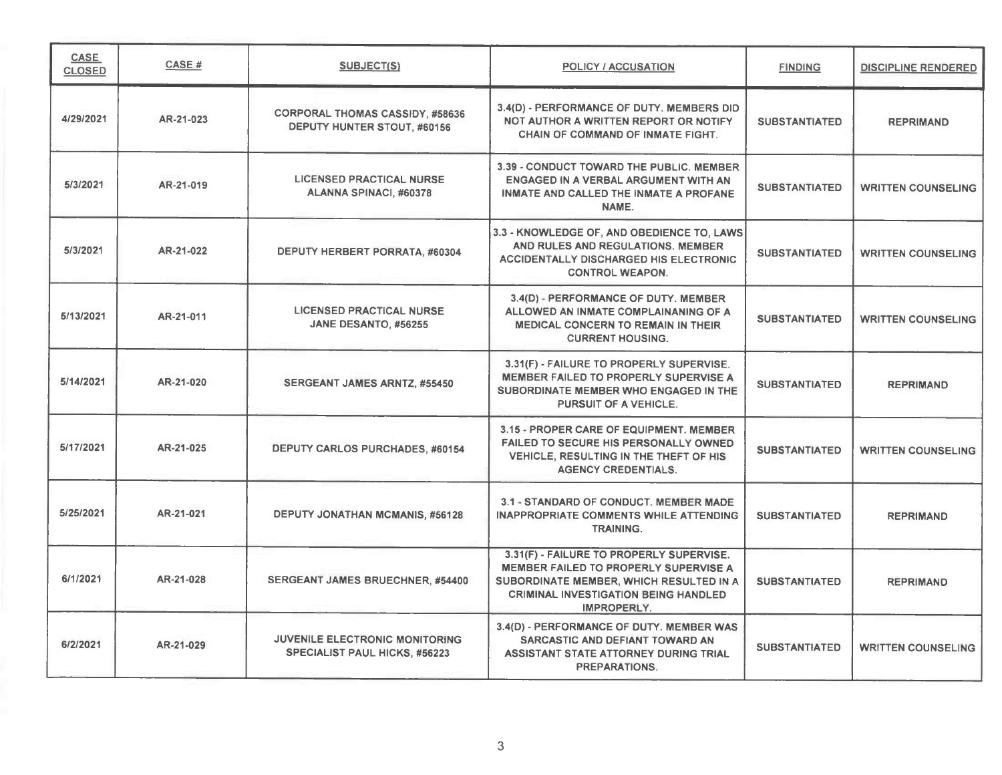| <b>CASE</b><br><b>CLOSED</b> | <b>CASE#</b> | <b>SUBJECT(S)</b>                                                             | POLICY / ACCUSATION                                                                                                                                                                        | <b>FINDING</b>       | DISCIPLINE RENDERED       |
|------------------------------|--------------|-------------------------------------------------------------------------------|--------------------------------------------------------------------------------------------------------------------------------------------------------------------------------------------|----------------------|---------------------------|
| 4/29/2021                    | AR-21-023    | <b>CORPORAL THOMAS CASSIDY, #58636</b><br>DEPUTY HUNTER STOUT, #60156         | 3.4(D) - PERFORMANCE OF DUTY. MEMBERS DID<br>NOT AUTHOR A WRITTEN REPORT OR NOTIFY<br><b>CHAIN OF COMMAND OF INMATE FIGHT.</b>                                                             | <b>SUBSTANTIATED</b> | <b>REPRIMAND</b>          |
| 5/3/2021                     | AR-21-019    | <b>LICENSED PRACTICAL NURSE</b><br>ALANNA SPINACI, #60378                     | 3.39 - CONDUCT TOWARD THE PUBLIC, MEMBER<br>ENGAGED IN A VERBAL ARGUMENT WITH AN<br><b>INMATE AND CALLED THE INMATE A PROFANE</b><br>NAME.                                                 | <b>SUBSTANTIATED</b> | <b>WRITTEN COUNSELING</b> |
| 5/3/2021                     | AR-21-022    | DEPUTY HERBERT PORRATA, #60304                                                | 3.3 - KNOWLEDGE OF, AND OBEDIENCE TO, LAWS<br>AND RULES AND REGULATIONS. MEMBER<br><b>ACCIDENTALLY DISCHARGED HIS ELECTRONIC</b><br><b>CONTROL WEAPON.</b>                                 | <b>SUBSTANTIATED</b> | <b>WRITTEN COUNSELING</b> |
| 5/13/2021                    | AR-21-011    | <b>LICENSED PRACTICAL NURSE</b><br>JANE DESANTO, #56255                       | 3.4(D) - PERFORMANCE OF DUTY. MEMBER<br>ALLOWED AN INMATE COMPLAINANING OF A<br><b>MEDICAL CONCERN TO REMAIN IN THEIR</b><br><b>CURRENT HOUSING.</b>                                       | <b>SUBSTANTIATED</b> | <b>WRITTEN COUNSELING</b> |
| 5/14/2021                    | AR-21-020    | SERGEANT JAMES ARNTZ, #55450                                                  | 3.31(F) - FAILURE TO PROPERLY SUPERVISE.<br><b>MEMBER FAILED TO PROPERLY SUPERVISE A</b><br>SUBORDINATE MEMBER WHO ENGAGED IN THE<br>PURSUIT OF A VEHICLE.                                 | <b>SUBSTANTIATED</b> | <b>REPRIMAND</b>          |
| 5/17/2021                    | AR-21-025    | DEPUTY CARLOS PURCHADES, #60154                                               | 3.15 - PROPER CARE OF EQUIPMENT. MEMBER<br>FAILED TO SECURE HIS PERSONALLY OWNED<br>VEHICLE, RESULTING IN THE THEFT OF HIS<br><b>AGENCY CREDENTIALS.</b>                                   | <b>SUBSTANTIATED</b> | <b>WRITTEN COUNSELING</b> |
| 5/25/2021                    | AR-21-021    | DEPUTY JONATHAN MCMANIS, #56128                                               | 3.1 - STANDARD OF CONDUCT. MEMBER MADE<br><b>INAPPROPRIATE COMMENTS WHILE ATTENDING</b><br><b>TRAINING.</b>                                                                                | <b>SUBSTANTIATED</b> | <b>REPRIMAND</b>          |
| 6/1/2021                     | AR-21-028    | SERGEANT JAMES BRUECHNER, #54400                                              | 3.31(F) - FAILURE TO PROPERLY SUPERVISE.<br>MEMBER FAILED TO PROPERLY SUPERVISE A<br>SUBORDINATE MEMBER, WHICH RESULTED IN A<br><b>CRIMINAL INVESTIGATION BEING HANDLED</b><br>IMPROPERLY. | <b>SUBSTANTIATED</b> | <b>REPRIMAND</b>          |
| 6/2/2021                     | AR-21-029    | <b>JUVENILE ELECTRONIC MONITORING</b><br><b>SPECIALIST PAUL HICKS, #56223</b> | 3.4(D) - PERFORMANCE OF DUTY. MEMBER WAS<br>SARCASTIC AND DEFIANT TOWARD AN<br>ASSISTANT STATE ATTORNEY DURING TRIAL<br><b>PREPARATIONS.</b>                                               | <b>SUBSTANTIATED</b> | <b>WRITTEN COUNSELING</b> |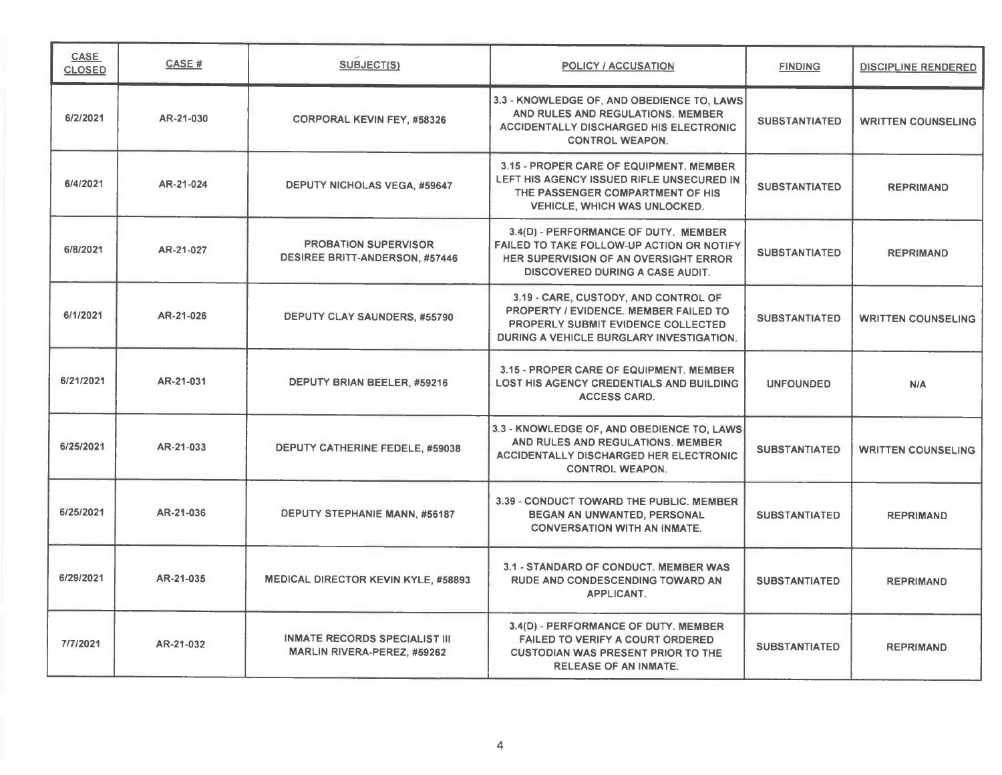| <b>CASE</b><br><b>CLOSED</b> | CASE#     | SUBJECT(S)                                                                 | <b>POLICY / ACCUSATION</b>                                                                                                                                                  | <b>FINDING</b>       | <b>DISCIPLINE RENDERED</b> |
|------------------------------|-----------|----------------------------------------------------------------------------|-----------------------------------------------------------------------------------------------------------------------------------------------------------------------------|----------------------|----------------------------|
| 6/2/2021                     | AR-21-030 | <b>CORPORAL KEVIN FEY, #58326</b>                                          | 3.3 - KNOWLEDGE OF, AND OBEDIENCE TO, LAWS<br>AND RULES AND REGULATIONS. MEMBER<br><b>ACCIDENTALLY DISCHARGED HIS ELECTRONIC</b><br><b>CONTROL WEAPON.</b>                  | <b>SUBSTANTIATED</b> | <b>WRITTEN COUNSELING</b>  |
| 6/4/2021                     | AR-21-024 | <b>DEPUTY NICHOLAS VEGA, #59647</b>                                        | 3.15 - PROPER CARE OF EQUIPMENT. MEMBER<br>LEFT HIS AGENCY ISSUED RIFLE UNSECURED IN<br>THE PASSENGER COMPARTMENT OF HIS<br><b>VEHICLE, WHICH WAS UNLOCKED.</b>             | <b>SUBSTANTIATED</b> | <b>REPRIMAND</b>           |
| 6/8/2021                     | AR-21-027 | <b>PROBATION SUPERVISOR</b><br><b>DESIREE BRITT-ANDERSON, #57446</b>       | 3.4(D) - PERFORMANCE OF DUTY. MEMBER<br>FAILED TO TAKE FOLLOW-UP ACTION OR NOTIFY<br><b>HER SUPERVISION OF AN OVERSIGHT ERROR</b><br><b>DISCOVERED DURING A CASE AUDIT.</b> | <b>SUBSTANTIATED</b> | <b>REPRIMAND</b>           |
| 6/1/2021                     | AR-21-026 | DEPUTY CLAY SAUNDERS, #55790                                               | 3.19 - CARE, CUSTODY, AND CONTROL OF<br>PROPERTY / EVIDENCE, MEMBER FAILED TO<br><b>PROPERLY SUBMIT EVIDENCE COLLECTED</b><br>DURING A VEHICLE BURGLARY INVESTIGATION.      | <b>SUBSTANTIATED</b> | <b>WRITTEN COUNSELING</b>  |
| 6/21/2021                    | AR-21-031 | DEPUTY BRIAN BEELER, #59216                                                | 3.15 - PROPER CARE OF EQUIPMENT. MEMBER<br><b>LOST HIS AGENCY CREDENTIALS AND BUILDING</b><br><b>ACCESS CARD.</b>                                                           | <b>UNFOUNDED</b>     | N/A                        |
| 6/25/2021                    | AR-21-033 | DEPUTY CATHERINE FEDELE, #59038                                            | 3.3 - KNOWLEDGE OF, AND OBEDIENCE TO, LAWS<br>AND RULES AND REGULATIONS. MEMBER<br><b>ACCIDENTALLY DISCHARGED HER ELECTRONIC</b><br><b>CONTROL WEAPON.</b>                  | <b>SUBSTANTIATED</b> | <b>WRITTEN COUNSELING</b>  |
| 6/25/2021                    | AR-21-036 | DEPUTY STEPHANIE MANN, #56187                                              | 3.39 - CONDUCT TOWARD THE PUBLIC. MEMBER<br>BEGAN AN UNWANTED, PERSONAL<br><b>CONVERSATION WITH AN INMATE.</b>                                                              | <b>SUBSTANTIATED</b> | <b>REPRIMAND</b>           |
| 6/29/2021                    | AR-21-035 | <b>MEDICAL DIRECTOR KEVIN KYLE, #58893</b>                                 | 3.1 - STANDARD OF CONDUCT. MEMBER WAS<br><b>RUDE AND CONDESCENDING TOWARD AN</b><br><b>APPLICANT.</b>                                                                       | <b>SUBSTANTIATED</b> | <b>REPRIMAND</b>           |
| 7/7/2021                     | AR-21-032 | <b>INMATE RECORDS SPECIALIST III</b><br><b>MARLIN RIVERA-PEREZ, #59262</b> | 3.4(D) - PERFORMANCE OF DUTY. MEMBER<br>FAILED TO VERIFY A COURT ORDERED<br><b>CUSTODIAN WAS PRESENT PRIOR TO THE</b><br><b>RELEASE OF AN INMATE.</b>                       | <b>SUBSTANTIATED</b> | <b>REPRIMAND</b>           |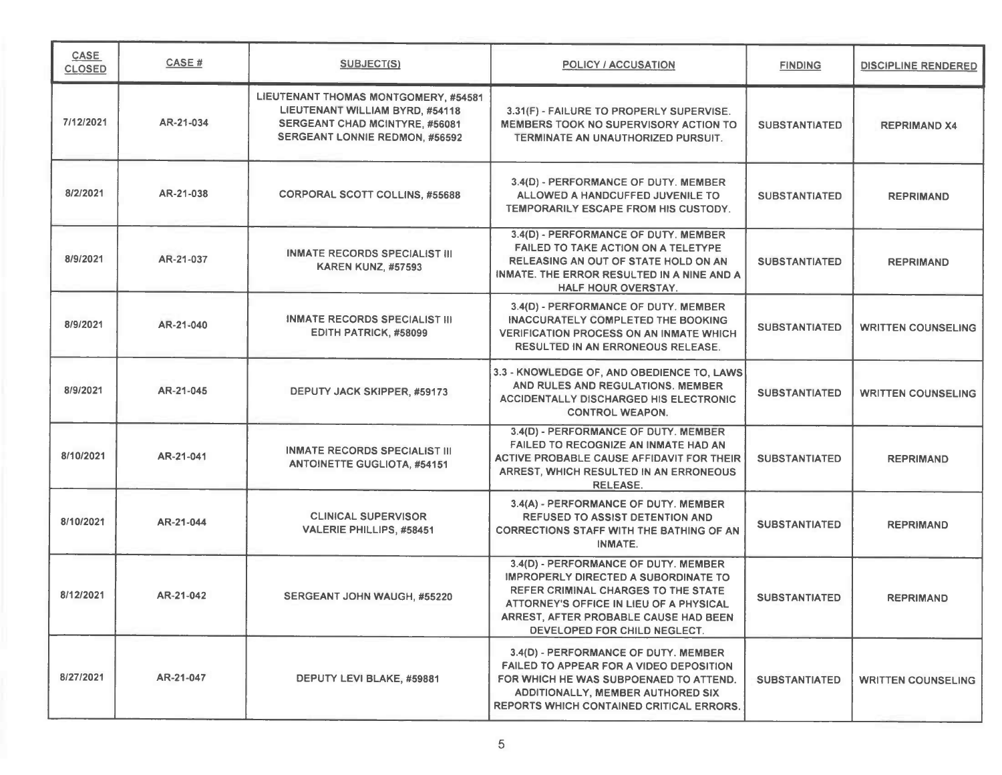| CASE<br><b>CLOSED</b> | CASE#     | <b>SUBJECT(S)</b>                                                                                                                                  | <b>POLICY / ACCUSATION</b>                                                                                                                                                                                                                     | <b>FINDING</b>       | DISCIPLINE RENDERED       |
|-----------------------|-----------|----------------------------------------------------------------------------------------------------------------------------------------------------|------------------------------------------------------------------------------------------------------------------------------------------------------------------------------------------------------------------------------------------------|----------------------|---------------------------|
| 7/12/2021             | AR-21-034 | LIEUTENANT THOMAS MONTGOMERY, #54581<br>LIEUTENANT WILLIAM BYRD, #54118<br>SERGEANT CHAD MCINTYRE. #56081<br><b>SERGEANT LONNIE REDMON, #56592</b> | 3.31(F) - FAILURE TO PROPERLY SUPERVISE.<br>MEMBERS TOOK NO SUPERVISORY ACTION TO<br>TERMINATE AN UNAUTHORIZED PURSUIT.                                                                                                                        | <b>SUBSTANTIATED</b> | <b>REPRIMAND X4</b>       |
| 8/2/2021              | AR-21-038 | <b>CORPORAL SCOTT COLLINS, #55688</b>                                                                                                              | 3.4(D) - PERFORMANCE OF DUTY. MEMBER<br>ALLOWED A HANDCUFFED JUVENILE TO<br>TEMPORARILY ESCAPE FROM HIS CUSTODY.                                                                                                                               | <b>SUBSTANTIATED</b> | <b>REPRIMAND</b>          |
| 8/9/2021              | AR-21-037 | <b>INMATE RECORDS SPECIALIST III</b><br><b>KAREN KUNZ, #57593</b>                                                                                  | 3.4(D) - PERFORMANCE OF DUTY. MEMBER<br><b>FAILED TO TAKE ACTION ON A TELETYPE</b><br>RELEASING AN OUT OF STATE HOLD ON AN<br>INMATE. THE ERROR RESULTED IN A NINE AND A<br><b>HALF HOUR OVERSTAY.</b>                                         | <b>SUBSTANTIATED</b> | <b>REPRIMAND</b>          |
| 8/9/2021              | AR-21-040 | <b>INMATE RECORDS SPECIALIST III</b><br>EDITH PATRICK, #58099                                                                                      | 3.4(D) - PERFORMANCE OF DUTY. MEMBER<br>INACCURATELY COMPLETED THE BOOKING<br><b>VERIFICATION PROCESS ON AN INMATE WHICH</b><br><b>RESULTED IN AN ERRONEOUS RELEASE.</b>                                                                       | <b>SUBSTANTIATED</b> | <b>WRITTEN COUNSELING</b> |
| 8/9/2021              | AR-21-045 | DEPUTY JACK SKIPPER, #59173                                                                                                                        | 3.3 - KNOWLEDGE OF, AND OBEDIENCE TO, LAWS<br>AND RULES AND REGULATIONS. MEMBER<br><b>ACCIDENTALLY DISCHARGED HIS ELECTRONIC</b><br><b>CONTROL WEAPON.</b>                                                                                     | <b>SUBSTANTIATED</b> | <b>WRITTEN COUNSELING</b> |
| 8/10/2021             | AR-21-041 | <b>INMATE RECORDS SPECIALIST III</b><br><b>ANTOINETTE GUGLIOTA, #54151</b>                                                                         | 3.4(D) - PERFORMANCE OF DUTY. MEMBER<br>FAILED TO RECOGNIZE AN INMATE HAD AN<br>ACTIVE PROBABLE CAUSE AFFIDAVIT FOR THEIR<br>ARREST, WHICH RESULTED IN AN ERRONEOUS<br><b>RELEASE.</b>                                                         | <b>SUBSTANTIATED</b> | <b>REPRIMAND</b>          |
| 8/10/2021             | AR-21-044 | <b>CLINICAL SUPERVISOR</b><br><b>VALERIE PHILLIPS, #58451</b>                                                                                      | 3.4(A) - PERFORMANCE OF DUTY. MEMBER<br><b>REFUSED TO ASSIST DETENTION AND</b><br><b>CORRECTIONS STAFF WITH THE BATHING OF AN</b><br>INMATE.                                                                                                   | <b>SUBSTANTIATED</b> | <b>REPRIMAND</b>          |
| 8/12/2021             | AR-21-042 | SERGEANT JOHN WAUGH, #55220                                                                                                                        | 3.4(D) - PERFORMANCE OF DUTY. MEMBER<br>IMPROPERLY DIRECTED A SUBORDINATE TO<br><b>REFER CRIMINAL CHARGES TO THE STATE</b><br>ATTORNEY'S OFFICE IN LIEU OF A PHYSICAL<br>ARREST, AFTER PROBABLE CAUSE HAD BEEN<br>DEVELOPED FOR CHILD NEGLECT. | <b>SUBSTANTIATED</b> | <b>REPRIMAND</b>          |
| 8/27/2021             | AR-21-047 | DEPUTY LEVI BLAKE, #59881                                                                                                                          | 3.4(D) - PERFORMANCE OF DUTY. MEMBER<br>FAILED TO APPEAR FOR A VIDEO DEPOSITION<br>FOR WHICH HE WAS SUBPOENAED TO ATTEND.<br><b>ADDITIONALLY, MEMBER AUTHORED SIX</b><br><b>REPORTS WHICH CONTAINED CRITICAL ERRORS.</b>                       | <b>SUBSTANTIATED</b> | <b>WRITTEN COUNSELING</b> |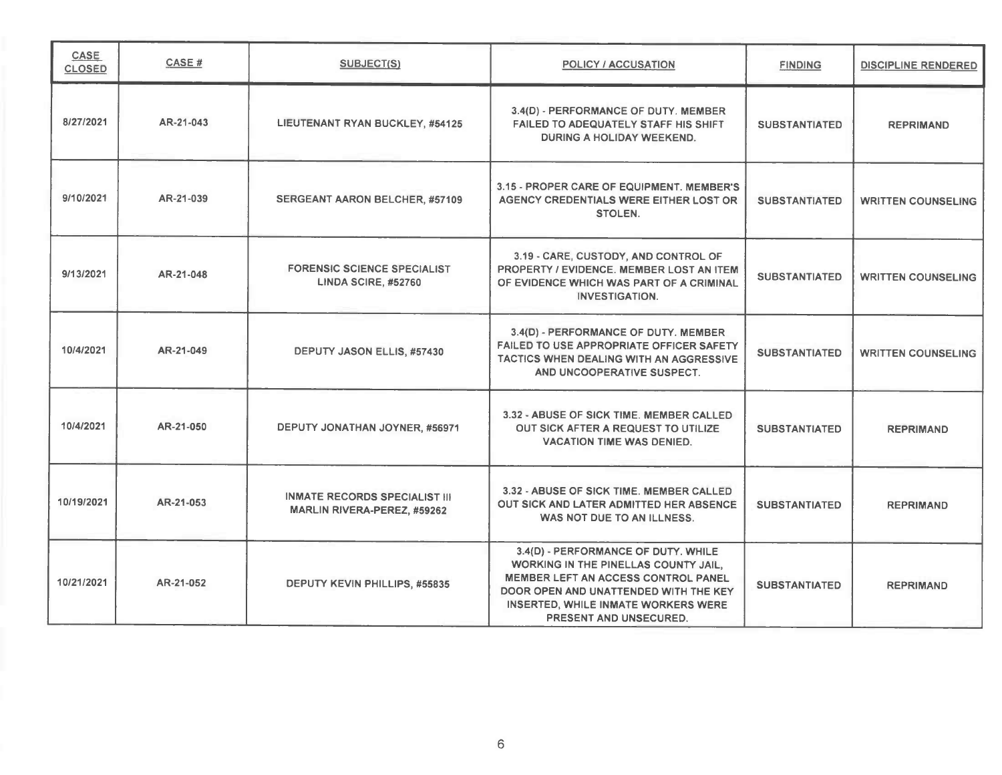| CASE<br><b>CLOSED</b> | <b>CASE#</b> | SUBJECT(S)                                                          | <b>POLICY / ACCUSATION</b>                                                                                                                                                                                                                 | <b>FINDING</b>       | <b>DISCIPLINE RENDERED</b> |
|-----------------------|--------------|---------------------------------------------------------------------|--------------------------------------------------------------------------------------------------------------------------------------------------------------------------------------------------------------------------------------------|----------------------|----------------------------|
| 8/27/2021             | AR-21-043    | LIEUTENANT RYAN BUCKLEY, #54125                                     | 3.4(D) - PERFORMANCE OF DUTY. MEMBER<br>FAILED TO ADEQUATELY STAFF HIS SHIFT<br><b>DURING A HOLIDAY WEEKEND.</b>                                                                                                                           | <b>SUBSTANTIATED</b> | <b>REPRIMAND</b>           |
| 9/10/2021             | AR-21-039    | <b>SERGEANT AARON BELCHER, #57109</b>                               | 3.15 - PROPER CARE OF EQUIPMENT. MEMBER'S<br>AGENCY CREDENTIALS WERE EITHER LOST OR<br><b>STOLEN.</b>                                                                                                                                      | <b>SUBSTANTIATED</b> | <b>WRITTEN COUNSELING</b>  |
| 9/13/2021             | AR-21-048    | <b>FORENSIC SCIENCE SPECIALIST</b><br>LINDA SCIRE, #52760           | 3.19 - CARE, CUSTODY, AND CONTROL OF<br><b>PROPERTY / EVIDENCE, MEMBER LOST AN ITEM</b><br>OF EVIDENCE WHICH WAS PART OF A CRIMINAL<br><b>INVESTIGATION.</b>                                                                               | <b>SUBSTANTIATED</b> | <b>WRITTEN COUNSELING</b>  |
| 10/4/2021             | AR-21-049    | DEPUTY JASON ELLIS, #57430                                          | 3.4(D) - PERFORMANCE OF DUTY. MEMBER<br><b>FAILED TO USE APPROPRIATE OFFICER SAFETY</b><br>TACTICS WHEN DEALING WITH AN AGGRESSIVE<br>AND UNCOOPERATIVE SUSPECT.                                                                           | <b>SUBSTANTIATED</b> | <b>WRITTEN COUNSELING</b>  |
| 10/4/2021             | AR-21-050    | DEPUTY JONATHAN JOYNER, #56971                                      | 3.32 - ABUSE OF SICK TIME. MEMBER CALLED<br>OUT SICK AFTER A REQUEST TO UTILIZE<br><b>VACATION TIME WAS DENIED.</b>                                                                                                                        | <b>SUBSTANTIATED</b> | <b>REPRIMAND</b>           |
| 10/19/2021            | AR-21-053    | <b>INMATE RECORDS SPECIALIST III</b><br>MARLIN RIVERA-PEREZ, #59262 | 3.32 - ABUSE OF SICK TIME. MEMBER CALLED<br>OUT SICK AND LATER ADMITTED HER ABSENCE<br>WAS NOT DUE TO AN ILLNESS.                                                                                                                          | <b>SUBSTANTIATED</b> | <b>REPRIMAND</b>           |
| 10/21/2021            | AR-21-052    | DEPUTY KEVIN PHILLIPS, #55835                                       | 3.4(D) - PERFORMANCE OF DUTY. WHILE<br>WORKING IN THE PINELLAS COUNTY JAIL.<br><b>MEMBER LEFT AN ACCESS CONTROL PANEL</b><br>DOOR OPEN AND UNATTENDED WITH THE KEY<br><b>INSERTED, WHILE INMATE WORKERS WERE</b><br>PRESENT AND UNSECURED. | <b>SUBSTANTIATED</b> | <b>REPRIMAND</b>           |